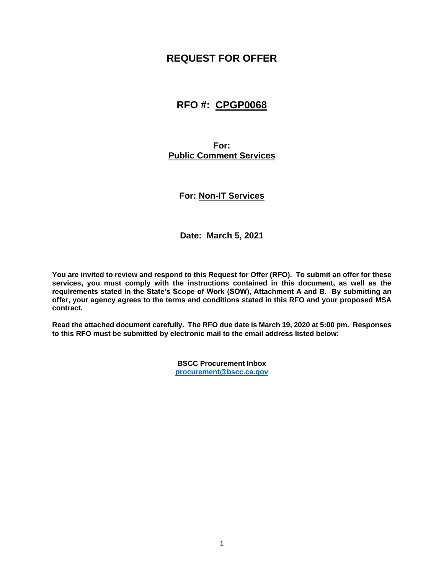# **REQUEST FOR OFFER**

# **RFO #: CPGP0068**

**For: Public Comment Services**

**For: Non-IT Services**

**Date: March 5, 2021**

**You are invited to review and respond to this Request for Offer (RFO). To submit an offer for these services, you must comply with the instructions contained in this document, as well as the requirements stated in the State's Scope of Work (SOW), Attachment A and B. By submitting an offer, your agency agrees to the terms and conditions stated in this RFO and your proposed MSA contract.** 

**Read the attached document carefully. The RFO due date is March 19, 2020 at 5:00 pm. Responses to this RFO must be submitted by electronic mail to the email address listed below:**

> **BSCC Procurement Inbox [procurement@bscc.ca.gov](mailto:procurement@bscc.ca.gov)**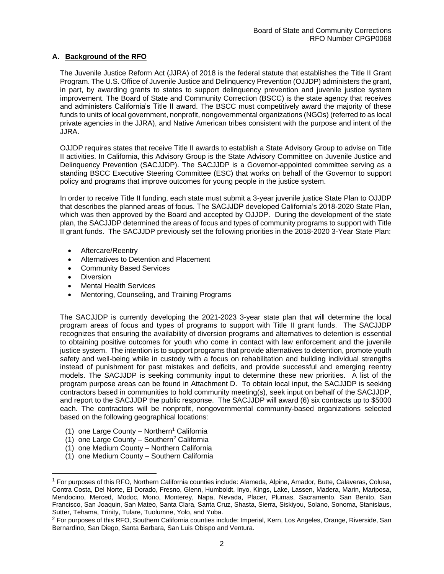#### **A. Background of the RFO**

The Juvenile Justice Reform Act (JJRA) of 2018 is the federal statute that establishes the Title II Grant Program. The U.S. Office of Juvenile Justice and Delinquency Prevention (OJJDP) administers the grant, in part, by awarding grants to states to support delinquency prevention and juvenile justice system improvement. The Board of State and Community Correction (BSCC) is the state agency that receives and administers California's Title II award. The BSCC must competitively award the majority of these funds to units of local government, nonprofit, nongovernmental organizations (NGOs) (referred to as local private agencies in the JJRA), and Native American tribes consistent with the purpose and intent of the JJRA.

OJJDP requires states that receive Title II awards to establish a State Advisory Group to advise on Title II activities. In California, this Advisory Group is the State Advisory Committee on Juvenile Justice and Delinquency Prevention (SACJJDP). The SACJJDP is a Governor-appointed committee serving as a standing BSCC Executive Steering Committee (ESC) that works on behalf of the Governor to support policy and programs that improve outcomes for young people in the justice system.

In order to receive Title II funding, each state must submit a 3-year juvenile justice State Plan to OJJDP that describes the planned areas of focus. The SACJJDP developed California's 2018-2020 State Plan, which was then approved by the Board and accepted by OJJDP. During the development of the state plan, the SACJJDP determined the areas of focus and types of community programs to support with Title II grant funds. The SACJJDP previously set the following priorities in the 2018-2020 3-Year State Plan:

- Aftercare/Reentry
- Alternatives to Detention and Placement
- Community Based Services
- Diversion
- Mental Health Services
- Mentoring, Counseling, and Training Programs

The SACJJDP is currently developing the 2021-2023 3-year state plan that will determine the local program areas of focus and types of programs to support with Title II grant funds. The SACJJDP recognizes that ensuring the availability of diversion programs and alternatives to detention is essential to obtaining positive outcomes for youth who come in contact with law enforcement and the juvenile justice system. The intention is to support programs that provide alternatives to detention, promote youth safety and well-being while in custody with a focus on rehabilitation and building individual strengths instead of punishment for past mistakes and deficits, and provide successful and emerging reentry models. The SACJJDP is seeking community input to determine these new priorities. A list of the program purpose areas can be found in Attachment D. To obtain local input, the SACJJDP is seeking contractors based in communities to hold community meeting(s), seek input on behalf of the SACJJDP, and report to the SACJJDP the public response. The SACJJDP will award (6) six contracts up to \$5000 each. The contractors will be nonprofit, nongovernmental community-based organizations selected based on the following geographical locations:

- (1) one Large County Northern<sup>1</sup> California
- $(1)$  one Large County Southern<sup>2</sup> California
- (1) one Medium County Northern California
- (1) one Medium County Southern California

<sup>1</sup> For purposes of this RFO, Northern California counties include: Alameda, Alpine, Amador, Butte, Calaveras, Colusa, Contra Costa, Del Norte, El Dorado, Fresno, Glenn, Humboldt, Inyo, Kings, Lake, Lassen, Madera, Marin, Mariposa, Mendocino, Merced, Modoc, Mono, Monterey, Napa, Nevada, Placer, Plumas, Sacramento, San Benito, San Francisco, San Joaquin, San Mateo, Santa Clara, Santa Cruz, Shasta, Sierra, Siskiyou, Solano, Sonoma, Stanislaus, Sutter, Tehama, Trinity, Tulare, Tuolumne, Yolo, and Yuba.

<sup>&</sup>lt;sup>2</sup> For purposes of this RFO, Southern California counties include: Imperial, Kern, Los Angeles, Orange, Riverside, San Bernardino, San Diego, Santa Barbara, San Luis Obispo and Ventura.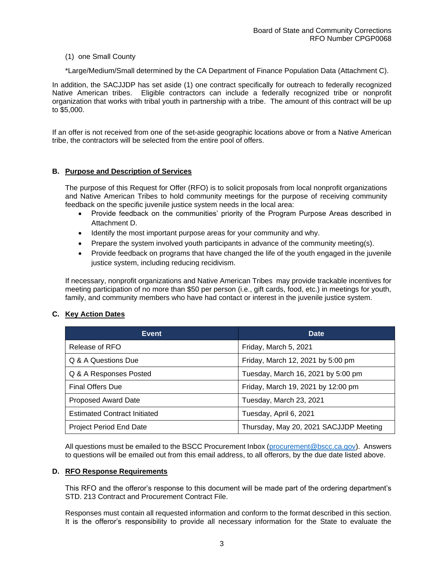#### (1) one Small County

\*Large/Medium/Small determined by the CA Department of Finance Population Data (Attachment C).

In addition, the SACJJDP has set aside (1) one contract specifically for outreach to federally recognized Native American tribes. Eligible contractors can include a federally recognized tribe or nonprofit organization that works with tribal youth in partnership with a tribe. The amount of this contract will be up to \$5,000.

If an offer is not received from one of the set-aside geographic locations above or from a Native American tribe, the contractors will be selected from the entire pool of offers.

### **B. Purpose and Description of Services**

The purpose of this Request for Offer (RFO) is to solicit proposals from local nonprofit organizations and Native American Tribes to hold community meetings for the purpose of receiving community feedback on the specific juvenile justice system needs in the local area:

- Provide feedback on the communities' priority of the Program Purpose Areas described in Attachment D.
- Identify the most important purpose areas for your community and why.
- Prepare the system involved youth participants in advance of the community meeting(s).
- Provide feedback on programs that have changed the life of the youth engaged in the juvenile justice system, including reducing recidivism.

If necessary, nonprofit organizations and Native American Tribes may provide trackable incentives for meeting participation of no more than \$50 per person (i.e., gift cards, food, etc.) in meetings for youth, family, and community members who have had contact or interest in the juvenile justice system.

### **C. Key Action Dates**

| <b>Event</b>                        | Date                                   |
|-------------------------------------|----------------------------------------|
| Release of RFO                      | Friday, March 5, 2021                  |
| Q & A Questions Due                 | Friday, March 12, 2021 by 5:00 pm      |
| Q & A Responses Posted              | Tuesday, March 16, 2021 by 5:00 pm     |
| <b>Final Offers Due</b>             | Friday, March 19, 2021 by 12:00 pm     |
| <b>Proposed Award Date</b>          | Tuesday, March 23, 2021                |
| <b>Estimated Contract Initiated</b> | Tuesday, April 6, 2021                 |
| <b>Project Period End Date</b>      | Thursday, May 20, 2021 SACJJDP Meeting |

All questions must be emailed to the BSCC Procurement Inbox [\(procurement@bscc.ca.gov\)](mailto:procurement@bscc.ca.gov). Answers to questions will be emailed out from this email address, to all offerors, by the due date listed above.

#### **D. RFO Response Requirements**

This RFO and the offeror's response to this document will be made part of the ordering department's STD. 213 Contract and Procurement Contract File.

Responses must contain all requested information and conform to the format described in this section. It is the offeror's responsibility to provide all necessary information for the State to evaluate the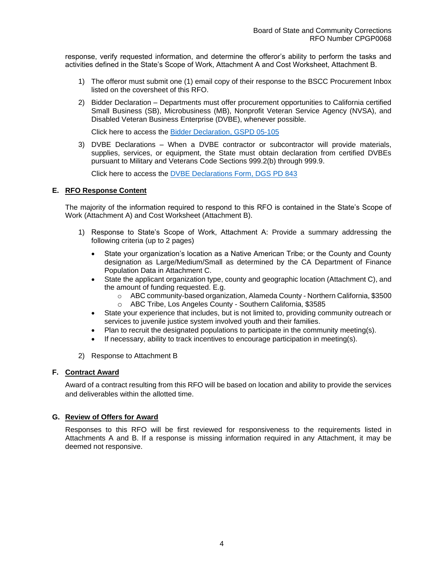response, verify requested information, and determine the offeror's ability to perform the tasks and activities defined in the State's Scope of Work, Attachment A and Cost Worksheet, Attachment B.

- 1) The offeror must submit one (1) email copy of their response to the BSCC Procurement Inbox listed on the coversheet of this RFO.
- 2) Bidder Declaration Departments must offer procurement opportunities to California certified Small Business (SB), Microbusiness (MB), Nonprofit Veteran Service Agency (NVSA), and Disabled Veteran Business Enterprise (DVBE), whenever possible.

Click here to access the [Bidder Declaration, GSPD 05-105](https://cwdb.ca.gov/wp-content/uploads/sites/43/2016/08/Form-8-Bidder-Declaration.pdf)

3) DVBE Declarations – When a DVBE contractor or subcontractor will provide materials, supplies, services, or equipment, the State must obtain declaration from certified DVBEs pursuant to Military and Veterans Code Sections 999.2(b) through 999.9.

Click here to access the [DVBE Declarations Form, DGS PD 843](https://www.documents.dgs.ca.gov/dgs/fmc/gs/pd/pd_843.pdf)

#### **E. RFO Response Content**

The majority of the information required to respond to this RFO is contained in the State's Scope of Work (Attachment A) and Cost Worksheet (Attachment B).

- 1) Response to State's Scope of Work, Attachment A: Provide a summary addressing the following criteria (up to 2 pages)
	- State your organization's location as a Native American Tribe; or the County and County designation as Large/Medium/Small as determined by the CA Department of Finance Population Data in Attachment C.
	- State the applicant organization type, county and geographic location (Attachment C), and the amount of funding requested. E.g.
		- o ABC community-based organization, Alameda County Northern California, \$3500
		- o ABC Tribe, Los Angeles County Southern California, \$3585
	- State your experience that includes, but is not limited to, providing community outreach or services to juvenile justice system involved youth and their families.
	- Plan to recruit the designated populations to participate in the community meeting(s).
	- If necessary, ability to track incentives to encourage participation in meeting(s).
- 2) Response to Attachment B

#### **F. Contract Award**

Award of a contract resulting from this RFO will be based on location and ability to provide the services and deliverables within the allotted time.

#### **G. Review of Offers for Award**

Responses to this RFO will be first reviewed for responsiveness to the requirements listed in Attachments A and B. If a response is missing information required in any Attachment, it may be deemed not responsive.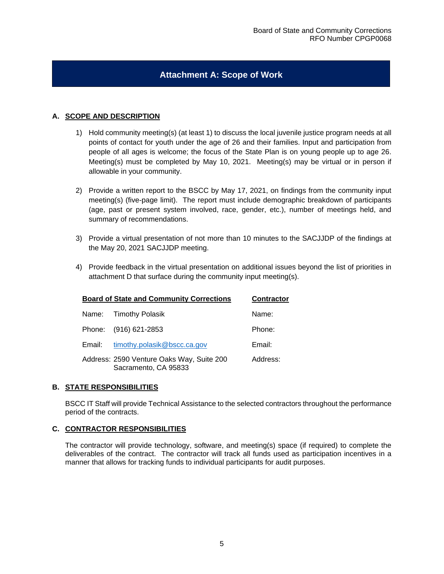## **Attachment A: Scope of Work**

### **A. SCOPE AND DESCRIPTION**

- 1) Hold community meeting(s) (at least 1) to discuss the local juvenile justice program needs at all points of contact for youth under the age of 26 and their families. Input and participation from people of all ages is welcome; the focus of the State Plan is on young people up to age 26. Meeting(s) must be completed by May 10, 2021. Meeting(s) may be virtual or in person if allowable in your community.
- 2) Provide a written report to the BSCC by May 17, 2021, on findings from the community input meeting(s) (five-page limit). The report must include demographic breakdown of participants (age, past or present system involved, race, gender, etc.), number of meetings held, and summary of recommendations.
- 3) Provide a virtual presentation of not more than 10 minutes to the SACJJDP of the findings at the May 20, 2021 SACJJDP meeting.
- 4) Provide feedback in the virtual presentation on additional issues beyond the list of priorities in attachment D that surface during the community input meeting(s).

| <b>Board of State and Community Corrections</b> | <b>Contractor</b>                                                 |          |
|-------------------------------------------------|-------------------------------------------------------------------|----------|
|                                                 | Name: Timothy Polasik                                             | Name:    |
| Phone:                                          | (916) 621-2853                                                    | Phone:   |
| Email:                                          | timothy.polasik@bscc.ca.gov                                       | Email:   |
|                                                 | Address: 2590 Venture Oaks Way, Suite 200<br>Sacramento, CA 95833 | Address: |

#### **B. STATE RESPONSIBILITIES**

BSCC IT Staff will provide Technical Assistance to the selected contractors throughout the performance period of the contracts.

#### **C. CONTRACTOR RESPONSIBILITIES**

The contractor will provide technology, software, and meeting(s) space (if required) to complete the deliverables of the contract. The contractor will track all funds used as participation incentives in a manner that allows for tracking funds to individual participants for audit purposes.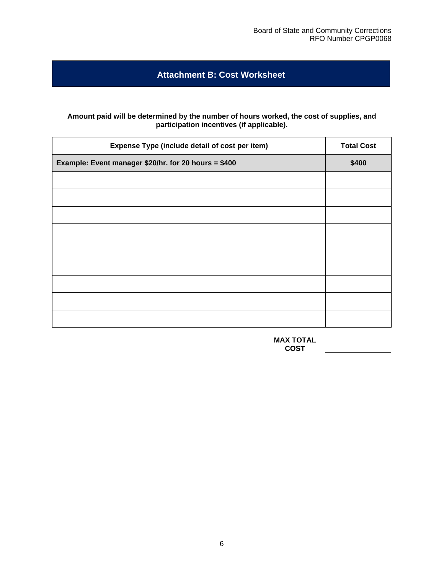# **Attachment B: Cost Worksheet**

#### **Amount paid will be determined by the number of hours worked, the cost of supplies, and participation incentives (if applicable).**

| <b>Total Cost</b> |
|-------------------|
| \$400             |
|                   |
|                   |
|                   |
|                   |
|                   |
|                   |
|                   |
|                   |
|                   |
|                   |

**MAX TOTAL COST**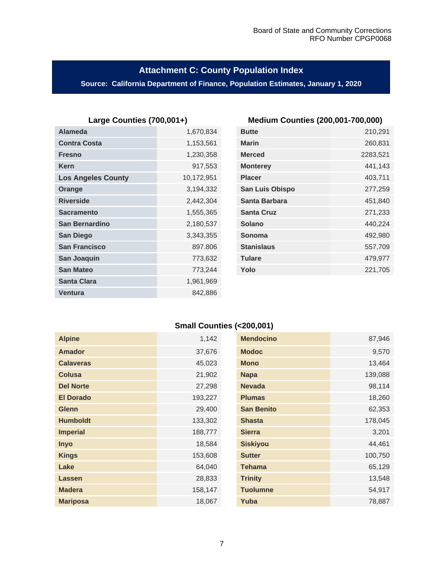# **Attachment C: County Population Index**

## **Source: California Department of Finance, Population Estimates, January 1, 2020**

| <b>Alameda</b>            | 1,670,834  | <b>Butte</b>         | 210,291  |
|---------------------------|------------|----------------------|----------|
| <b>Contra Costa</b>       | 1,153,561  | <b>Marin</b>         | 260,831  |
| <b>Fresno</b>             | 1,230,358  | <b>Merced</b>        | 2283,521 |
| <b>Kern</b>               | 917,553    | <b>Monterey</b>      | 441,143  |
| <b>Los Angeles County</b> | 10,172,951 | <b>Placer</b>        | 403,711  |
| Orange                    | 3,194,332  | San Luis Obispo      | 277,259  |
| <b>Riverside</b>          | 2,442,304  | <b>Santa Barbara</b> | 451,840  |
| <b>Sacramento</b>         | 1,555,365  | <b>Santa Cruz</b>    | 271,233  |
| <b>San Bernardino</b>     | 2,180,537  | <b>Solano</b>        | 440,224  |
| <b>San Diego</b>          | 3,343,355  | Sonoma               | 492,980  |
| <b>San Francisco</b>      | 897.806    | <b>Stanislaus</b>    | 557,709  |
| San Joaquin               | 773,632    | <b>Tulare</b>        | 479,977  |
| <b>San Mateo</b>          | 773,244    | Yolo                 | 221,705  |
| <b>Santa Clara</b>        | 1,961,969  |                      |          |
| <b>Ventura</b>            | 842,886    |                      |          |

## **Large Counties (700,001+) Medium Counties (200,001-700,000)**

| <b>Butte</b>      | 210,291  |
|-------------------|----------|
|                   |          |
| <b>Marin</b>      | 260,831  |
| <b>Merced</b>     | 2283,521 |
| <b>Monterey</b>   | 441,143  |
| <b>Placer</b>     | 403,711  |
| San Luis Obispo   | 277,259  |
| Santa Barbara     | 451,840  |
| <b>Santa Cruz</b> | 271,233  |
| Solano            | 440,224  |
| Sonoma            | 492,980  |
| <b>Stanislaus</b> | 557,709  |
| <b>Tulare</b>     | 479,977  |
| Yolo              | 221,705  |
|                   |          |

## **Small Counties (<200,001)**

| <b>Alpine</b>    | 1,142   | <b>Mendocino</b>  | 87,946  |
|------------------|---------|-------------------|---------|
| <b>Amador</b>    | 37,676  | <b>Modoc</b>      | 9,570   |
| <b>Calaveras</b> | 45,023  | <b>Mono</b>       | 13,464  |
| <b>Colusa</b>    | 21,902  | <b>Napa</b>       | 139,088 |
| <b>Del Norte</b> | 27,298  | <b>Nevada</b>     | 98,114  |
| <b>El Dorado</b> | 193,227 | <b>Plumas</b>     | 18,260  |
| <b>Glenn</b>     | 29,400  | <b>San Benito</b> | 62,353  |
| <b>Humboldt</b>  | 133,302 | <b>Shasta</b>     | 178,045 |
| <b>Imperial</b>  | 188,777 | <b>Sierra</b>     | 3,201   |
| <b>Inyo</b>      | 18,584  | <b>Siskiyou</b>   | 44,461  |
| <b>Kings</b>     | 153,608 | <b>Sutter</b>     | 100,750 |
| Lake             | 64,040  | <b>Tehama</b>     | 65,129  |
| Lassen           | 28,833  | <b>Trinity</b>    | 13,548  |
| <b>Madera</b>    | 158,147 | <b>Tuolumne</b>   | 54,917  |
| <b>Mariposa</b>  | 18,067  | Yuba              | 78,887  |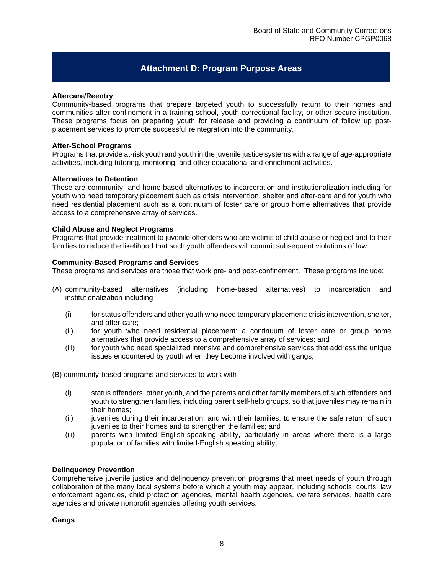## **Attachment D: Program Purpose Areas**

#### **Aftercare/Reentry**

Community-based programs that prepare targeted youth to successfully return to their homes and communities after confinement in a training school, youth correctional facility, or other secure institution. These programs focus on preparing youth for release and providing a continuum of follow up postplacement services to promote successful reintegration into the community.

#### **After-School Programs**

Programs that provide at-risk youth and youth in the juvenile justice systems with a range of age-appropriate activities, including tutoring, mentoring, and other educational and enrichment activities.

#### **Alternatives to Detention**

These are community- and home-based alternatives to incarceration and institutionalization including for youth who need temporary placement such as crisis intervention, shelter and after-care and for youth who need residential placement such as a continuum of foster care or group home alternatives that provide access to a comprehensive array of services.

#### **Child Abuse and Neglect Programs**

Programs that provide treatment to juvenile offenders who are victims of child abuse or neglect and to their families to reduce the likelihood that such youth offenders will commit subsequent violations of law.

#### **Community-Based Programs and Services**

These programs and services are those that work pre- and post-confinement. These programs include;

- (A) community-based alternatives (including home-based alternatives) to incarceration and institutionalization including—
	- (i) for status offenders and other youth who need temporary placement: crisis intervention, shelter, and after-care;
	- (ii) for youth who need residential placement: a continuum of foster care or group home alternatives that provide access to a comprehensive array of services; and
	- (iii) for youth who need specialized intensive and comprehensive services that address the unique issues encountered by youth when they become involved with gangs;

(B) community-based programs and services to work with—

- (i) status offenders, other youth, and the parents and other family members of such offenders and youth to strengthen families, including parent self-help groups, so that juveniles may remain in their homes;
- (ii) juveniles during their incarceration, and with their families, to ensure the safe return of such juveniles to their homes and to strengthen the families; and
- (iii) parents with limited English-speaking ability, particularly in areas where there is a large population of families with limited-English speaking ability;

#### **Delinquency Prevention**

Comprehensive juvenile justice and delinquency prevention programs that meet needs of youth through collaboration of the many local systems before which a youth may appear, including schools, courts, law enforcement agencies, child protection agencies, mental health agencies, welfare services, health care agencies and private nonprofit agencies offering youth services.

**Gangs**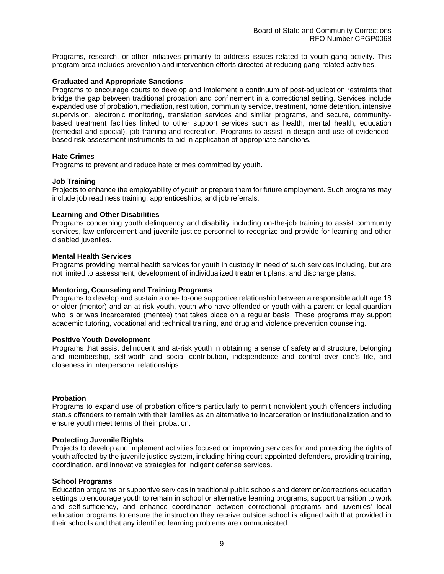Programs, research, or other initiatives primarily to address issues related to youth gang activity. This program area includes prevention and intervention efforts directed at reducing gang-related activities.

#### **Graduated and Appropriate Sanctions**

Programs to encourage courts to develop and implement a continuum of post-adjudication restraints that bridge the gap between traditional probation and confinement in a correctional setting. Services include expanded use of probation, mediation, restitution, community service, treatment, home detention, intensive supervision, electronic monitoring, translation services and similar programs, and secure, communitybased treatment facilities linked to other support services such as health, mental health, education (remedial and special), job training and recreation. Programs to assist in design and use of evidencedbased risk assessment instruments to aid in application of appropriate sanctions.

#### **Hate Crimes**

Programs to prevent and reduce hate crimes committed by youth.

#### **Job Training**

Projects to enhance the employability of youth or prepare them for future employment. Such programs may include job readiness training, apprenticeships, and job referrals.

#### **Learning and Other Disabilities**

Programs concerning youth delinquency and disability including on-the-job training to assist community services, law enforcement and juvenile justice personnel to recognize and provide for learning and other disabled juveniles.

#### **Mental Health Services**

Programs providing mental health services for youth in custody in need of such services including, but are not limited to assessment, development of individualized treatment plans, and discharge plans.

#### **Mentoring, Counseling and Training Programs**

Programs to develop and sustain a one- to-one supportive relationship between a responsible adult age 18 or older (mentor) and an at-risk youth, youth who have offended or youth with a parent or legal guardian who is or was incarcerated (mentee) that takes place on a regular basis. These programs may support academic tutoring, vocational and technical training, and drug and violence prevention counseling.

#### **Positive Youth Development**

Programs that assist delinquent and at-risk youth in obtaining a sense of safety and structure, belonging and membership, self-worth and social contribution, independence and control over one's life, and closeness in interpersonal relationships.

#### **Probation**

Programs to expand use of probation officers particularly to permit nonviolent youth offenders including status offenders to remain with their families as an alternative to incarceration or institutionalization and to ensure youth meet terms of their probation.

#### **Protecting Juvenile Rights**

Projects to develop and implement activities focused on improving services for and protecting the rights of youth affected by the juvenile justice system, including hiring court-appointed defenders, providing training, coordination, and innovative strategies for indigent defense services.

#### **School Programs**

Education programs or supportive services in traditional public schools and detention/corrections education settings to encourage youth to remain in school or alternative learning programs, support transition to work and self-sufficiency, and enhance coordination between correctional programs and juveniles' local education programs to ensure the instruction they receive outside school is aligned with that provided in their schools and that any identified learning problems are communicated.